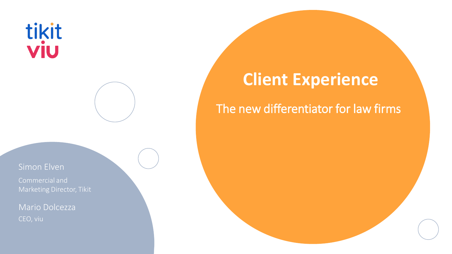# tikit<br>viu

#### Simon Elven

Commercial and Marketing Director, Tikit

Mario Dolcezza

## **Client Experience**

#### The new differentiator for law firms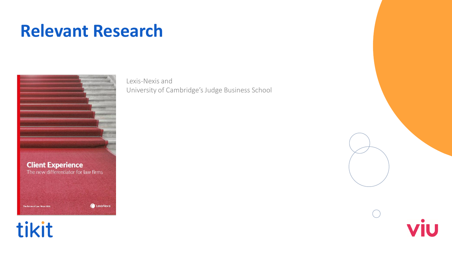### **Relevant Research**

**Client Experience** The new differentiator for law firms LexisNexis' The Future of Law. Since 1818.

tikit

Lexis-Nexis and University of Cambridge's Judge Business School



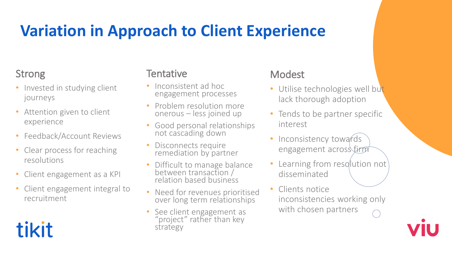## **Variation in Approach to Client Experience**

#### Strong

- Invested in studying client journeys
- Attention given to client experience
- Feedback/Account Reviews
- Clear process for reaching resolutions
- Client engagement as a KPI
- Client engagement integral to recruitment

# tikit

#### **Tentative**

- Inconsistent ad hoc engagement processes
- Problem resolution more onerous – less joined up
- Good personal relationships not cascading down
- Disconnects require remediation by partner
- Difficult to manage balance between transaction / relation based business
- Need for revenues prioritised over long term relationships
- See client engagement as "project" rather than key strategy

#### Modest

- Utilise technologies well but lack thorough adoption
- Tends to be partner specific interest
- Inconsistency towards engagement across firm
- Learning from resolution not disseminated
- Clients notice inconsistencies working only with chosen partners

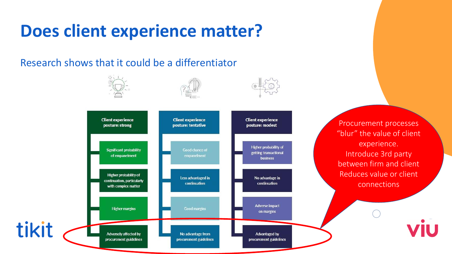# **Does client experience matter?**

Research shows that it could be a differentiator



Procurement processes "blur" the value of client experience. Introduce 3rd party between firm and client Reduces value or client connections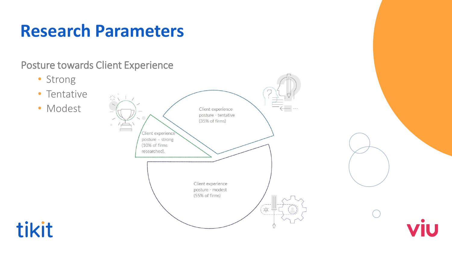## **Research Parameters**

#### Posture towards Client Experience





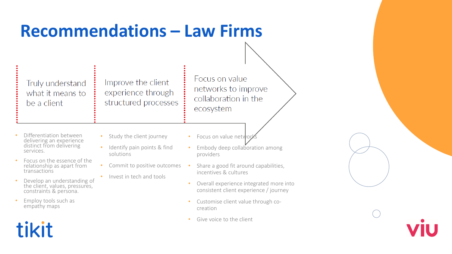### **Recommendations – Law Firms**

Truly understand what it means to be a client

Improve the client experience through structured processes

Focus on value networks to improve collaboration in the ecosystem

- Differentiation between delivering an experience distinct from delivering services.
- Focus on the essence of the relationship as apart from transactions
- Develop an understanding of the client, values, pressures, constraints & persona.
- Employ tools such as empathy maps

tikit

- Study the client journey
	- Identify pain points & find solutions
	- Commit to positive outcomes
	- Invest in tech and tools
- Focus on value networ
- Embody deep collaboration among providers
- Share a good fit around capabilities, incentives & cultures
- Overall experience integrated more into consistent client experience / journey
- Customise client value through cocreation
- Give voice to the client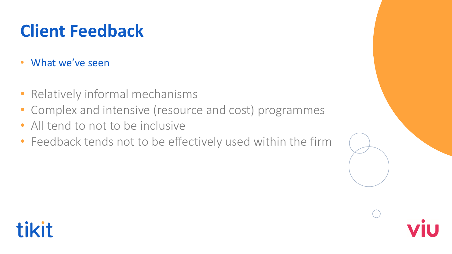# **Client Feedback**

- What we've seen
- Relatively informal mechanisms
- Complex and intensive (resource and cost) programmes
- All tend to not to be inclusive
- Feedback tends not to be effectively used within the firm



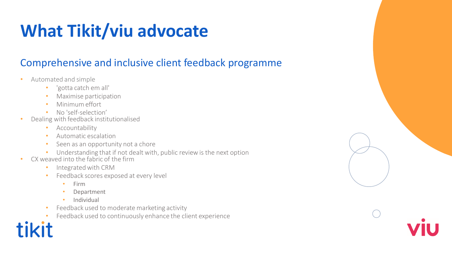# **What Tikit/viu advocate**

#### Comprehensive and inclusive client feedback programme

- Automated and simple
	- 'gotta catch em all'
	- Maximise participation
	- Minimum effort
	- No 'self-selection'
- Dealing with feedback institutionalised
	- Accountability
	- Automatic escalation
	- Seen as an opportunity not a chore
	- Understanding that if not dealt with, public review is the next option
- CX weaved into the fabric of the firm
	- Integrated with CRM
	- Feedback scores exposed at every level
		- Firm
		- **Department**
		- Individual
	- Feedback used to moderate marketing activity
	- Feedback used to continuously enhance the client experience